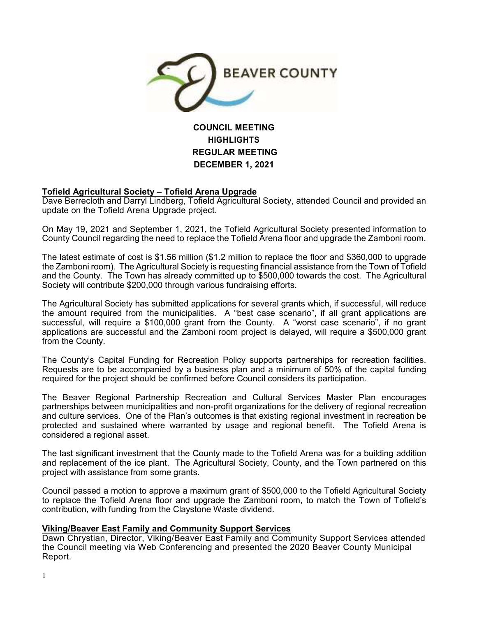

# **COUNCIL MEETING HIGHLIGHTS REGULAR MEETING DECEMBER 1, 2021**

### **Tofield Agricultural Society – Tofield Arena Upgrade**

Dave Berrecloth and Darryl Lindberg, Tofield Agricultural Society, attended Council and provided an update on the Tofield Arena Upgrade project.

On May 19, 2021 and September 1, 2021, the Tofield Agricultural Society presented information to County Council regarding the need to replace the Tofield Arena floor and upgrade the Zamboni room.

The latest estimate of cost is \$1.56 million (\$1.2 million to replace the floor and \$360,000 to upgrade the Zamboni room). The Agricultural Society is requesting financial assistance from the Town of Tofield and the County. The Town has already committed up to \$500,000 towards the cost. The Agricultural Society will contribute \$200,000 through various fundraising efforts.

The Agricultural Society has submitted applications for several grants which, if successful, will reduce the amount required from the municipalities. A "best case scenario", if all grant applications are successful, will require a \$100,000 grant from the County. A "worst case scenario", if no grant applications are successful and the Zamboni room project is delayed, will require a \$500,000 grant from the County.

The County's Capital Funding for Recreation Policy supports partnerships for recreation facilities. Requests are to be accompanied by a business plan and a minimum of 50% of the capital funding required for the project should be confirmed before Council considers its participation.

The Beaver Regional Partnership Recreation and Cultural Services Master Plan encourages partnerships between municipalities and non-profit organizations for the delivery of regional recreation and culture services. One of the Plan's outcomes is that existing regional investment in recreation be protected and sustained where warranted by usage and regional benefit. The Tofield Arena is considered a regional asset.

The last significant investment that the County made to the Tofield Arena was for a building addition and replacement of the ice plant. The Agricultural Society, County, and the Town partnered on this project with assistance from some grants.

Council passed a motion to approve a maximum grant of \$500,000 to the Tofield Agricultural Society to replace the Tofield Arena floor and upgrade the Zamboni room, to match the Town of Tofield's contribution, with funding from the Claystone Waste dividend.

#### **Viking/Beaver East Family and Community Support Services**

Dawn Chrystian, Director, Viking/Beaver East Family and Community Support Services attended the Council meeting via Web Conferencing and presented the 2020 Beaver County Municipal Report.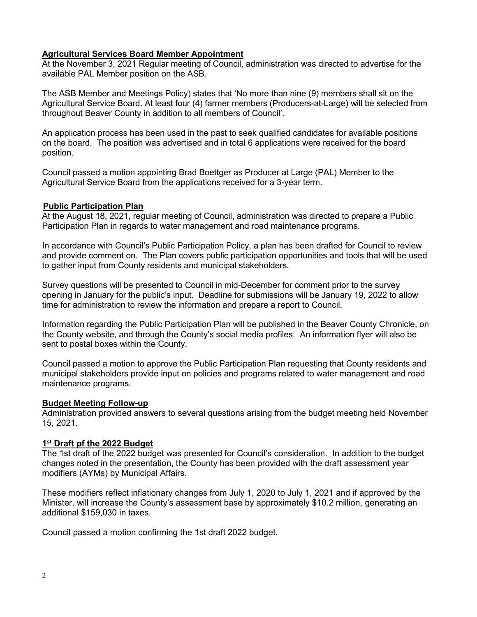### **Agricultural Services Board Member Appointment**

At the November 3, 2021 Regular meeting of Council, administration was directed to advertise for the available PAL Member position on the ASB.

The ASB Member and Meetings Policy) states that 'No more than nine (9) members shall sit on the Agricultural Service Board. At least four (4) farmer members (Producers-at-Large) will be selected from throughout Beaver County in addition to all members of Council'.

An application process has been used in the past to seek qualified candidates for available positions on the board. The position was advertised and in total 6 applications were received for the board position.

Council passed a motion appointing Brad Boettger as Producer at Large (PAL) Member to the Agricultural Service Board from the applications received for a 3-year term.

#### **Public Participation Plan**

At the August 18, 2021, regular meeting of Council, administration was directed to prepare a Public Participation Plan in regards to water management and road maintenance programs.

In accordance with Council's Public Participation Policy, a plan has been drafted for Council to review and provide comment on. The Plan covers public participation opportunities and tools that will be used to gather input from County residents and municipal stakeholders.

Survey questions will be presented to Council in mid-December for comment prior to the survey opening in January for the public's input. Deadline for submissions will be January 19, 2022 to allow time for administration to review the information and prepare a report to Council.

Information regarding the Public Participation Plan will be published in the Beaver County Chronicle, on the County website, and through the County's social media profiles. An information flyer will also be sent to postal boxes within the County.

Council passed a motion to approve the Public Participation Plan requesting that County residents and municipal stakeholders provide input on policies and programs related to water management and road maintenance programs.

### **Budget Meeting Follow-up**

Administration provided answers to several questions arising from the budget meeting held November 15, 2021.

### **1 st Draft pf the 2022 Budget**

The 1st draft of the 2022 budget was presented for Council's consideration. In addition to the budget changes noted in the presentation, the County has been provided with the draft assessment year modifiers (AYMs) by Municipal Affairs.

These modifiers reflect inflationary changes from July 1, 2020 to July 1, 2021 and if approved by the Minister, will increase the County's assessment base by approximately \$10.2 million, generating an additional \$159,030 in taxes.

Council passed a motion confirming the 1st draft 2022 budget.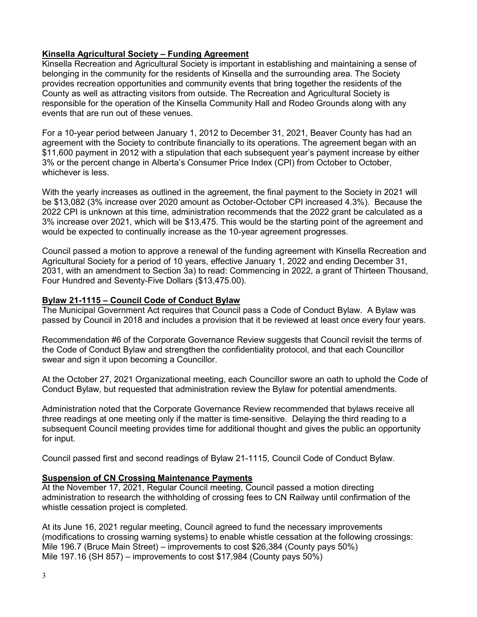# **Kinsella Agricultural Society – Funding Agreement**

Kinsella Recreation and Agricultural Society is important in establishing and maintaining a sense of belonging in the community for the residents of Kinsella and the surrounding area. The Society provides recreation opportunities and community events that bring together the residents of the County as well as attracting visitors from outside. The Recreation and Agricultural Society is responsible for the operation of the Kinsella Community Hall and Rodeo Grounds along with any events that are run out of these venues.

For a 10-year period between January 1, 2012 to December 31, 2021, Beaver County has had an agreement with the Society to contribute financially to its operations. The agreement began with an \$11,600 payment in 2012 with a stipulation that each subsequent year's payment increase by either 3% or the percent change in Alberta's Consumer Price Index (CPI) from October to October, whichever is less.

With the yearly increases as outlined in the agreement, the final payment to the Society in 2021 will be \$13,082 (3% increase over 2020 amount as October-October CPI increased 4.3%). Because the 2022 CPI is unknown at this time, administration recommends that the 2022 grant be calculated as a 3% increase over 2021, which will be \$13,475. This would be the starting point of the agreement and would be expected to continually increase as the 10-year agreement progresses.

Council passed a motion to approve a renewal of the funding agreement with Kinsella Recreation and Agricultural Society for a period of 10 years, effective January 1, 2022 and ending December 31, 2031, with an amendment to Section 3a) to read: Commencing in 2022, a grant of Thirteen Thousand, Four Hundred and Seventy-Five Dollars (\$13,475.00).

### **Bylaw 21-1115 – Council Code of Conduct Bylaw**

The Municipal Government Act requires that Council pass a Code of Conduct Bylaw. A Bylaw was passed by Council in 2018 and includes a provision that it be reviewed at least once every four years.

Recommendation #6 of the Corporate Governance Review suggests that Council revisit the terms of the Code of Conduct Bylaw and strengthen the confidentiality protocol, and that each Councillor swear and sign it upon becoming a Councillor.

At the October 27, 2021 Organizational meeting, each Councillor swore an oath to uphold the Code of Conduct Bylaw, but requested that administration review the Bylaw for potential amendments.

Administration noted that the Corporate Governance Review recommended that bylaws receive all three readings at one meeting only if the matter is time-sensitive. Delaying the third reading to a subsequent Council meeting provides time for additional thought and gives the public an opportunity for input.

Council passed first and second readings of Bylaw 21-1115, Council Code of Conduct Bylaw.

# **Suspension of CN Crossing Maintenance Payments**

At the November 17, 2021, Regular Council meeting, Council passed a motion directing administration to research the withholding of crossing fees to CN Railway until confirmation of the whistle cessation project is completed.

At its June 16, 2021 regular meeting, Council agreed to fund the necessary improvements (modifications to crossing warning systems) to enable whistle cessation at the following crossings: Mile 196.7 (Bruce Main Street) – improvements to cost \$26,384 (County pays 50%) Mile 197.16 (SH 857) – improvements to cost \$17,984 (County pays 50%)